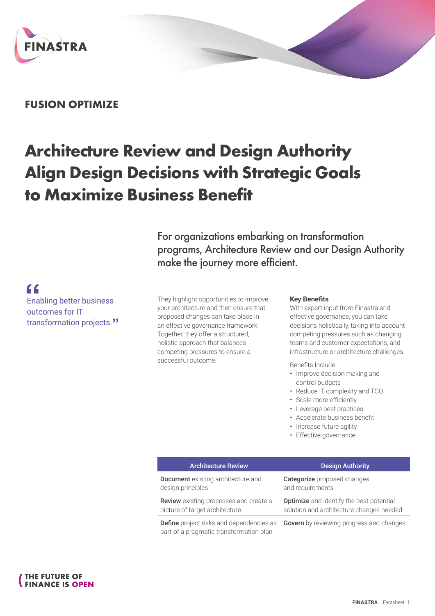

## **FUSION OPTIMIZE**

# **Architecture Review and Design Authority Align Design Decisions with Strategic Goals to Maximize Business Benefit**

For organizations embarking on transformation programs, Architecture Review and our Design Authority make the journey more efficient.

f<br>Enal<br>outo Enabling better business outcomes for IT transformation projects.**"**

They highlight opportunities to improve your architecture and then ensure that proposed changes can take place in an effective governance framework. Together, they offer a structured, holistic approach that balances competing pressures to ensure a successful outcome.

part of a pragmatic transformation plan

### **Key Benefits**

With expert input from Finastra and effective governance, you can take decisions holistically, taking into account competing pressures such as changing teams and customer expectations, and infrastructure or architecture challenges.

Benefits Include:

- Improve decision making and control budgets
- Reduce IT complexity and TCO
- Scale more efficiently
- Leverage best practices
- Accelerate business benefit
- Increase future agility
- Effective governance

| <b>Architecture Review</b>                    | <b>Design Authority</b>                                                                         |
|-----------------------------------------------|-------------------------------------------------------------------------------------------------|
| <b>Document</b> existing architecture and     | Categorize proposed changes                                                                     |
| design principles                             | and requirements                                                                                |
| <b>Review</b> existing processes and create a | <b>Optimize</b> and identify the best potential                                                 |
| picture of target architecture                | solution and architecture changes needed                                                        |
|                                               | <b>Define</b> project risks and dependencies as <b>Govern</b> by reviewing progress and changes |

**THE FUTURE OF FINANCE IS OPEN**